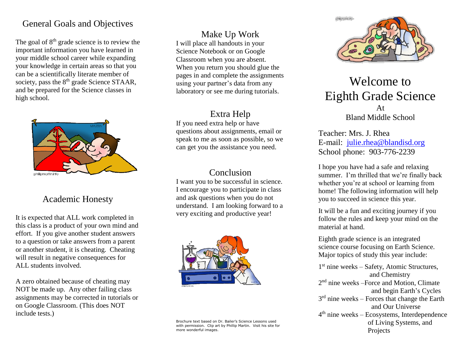## General Goals and Objectives

The goal of  $8<sup>th</sup>$  grade science is to review the important information you have learned in your middle school career while expanding your knowledge in certain areas so that you can be a scientifically literate member of society, pass the  $8<sup>th</sup>$  grade Science STAAR, and be prepared for the Science classes in high school.



### Academic Honesty

It is expected that ALL work completed in this class is a product of your own mind and effort. If you give another student answers to a question or take answers from a parent or another student, it is cheating. Cheating will result in negative consequences for ALL students involved.

A zero obtained because of cheating may NOT be made up. Any other failing class assignments may be corrected in tutorials or on Google Classroom. (This does NOT include tests.)

#### Make Up Work

I will place all handouts in your Science Notebook or on Google Classroom when you are absent. When you return you should glue the pages in and complete the assignments using your partner's data from any laboratory or see me during tutorials.

#### Extra Help

If you need extra help or have questions about assignments, email or speak to me as soon as possible, so we can get you the assistance you need.

#### Conclusion

I want you to be successful in science. I encourage you to participate in class and ask questions when you do not understand. I am looking forward to a very exciting and productive year!



Brochure text based on Dr. Bailer's Science Lessons used with permission. Clip art by Phillip Martin. Visit his site for more wonderful images.



# Welcome to Eighth Grade Science At Bland Middle School

Teacher: Mrs. J. Rhea E-mail: [julie.rhea@blandisd.org](mailto:jbailer@houstonisd.org) School phone: 903-776-2239

I hope you have had a safe and relaxing summer. I'm thrilled that we're finally back whether you're at school or learning from home! The following information will help you to succeed in science this year.

It will be a fun and exciting journey if you follow the rules and keep your mind on the material at hand.

Eighth grade science is an integrated science course focusing on Earth Science. Major topics of study this year include:

1 st nine weeks – Safety, Atomic Structures, and Chemistry 2<sup>nd</sup> nine weeks –Force and Motion, Climate and begin Earth's Cycles  $3<sup>rd</sup>$  nine weeks – Forces that change the Earth and Our Universe 4 th nine weeks – Ecosystems, Interdependence of Living Systems, and Projects